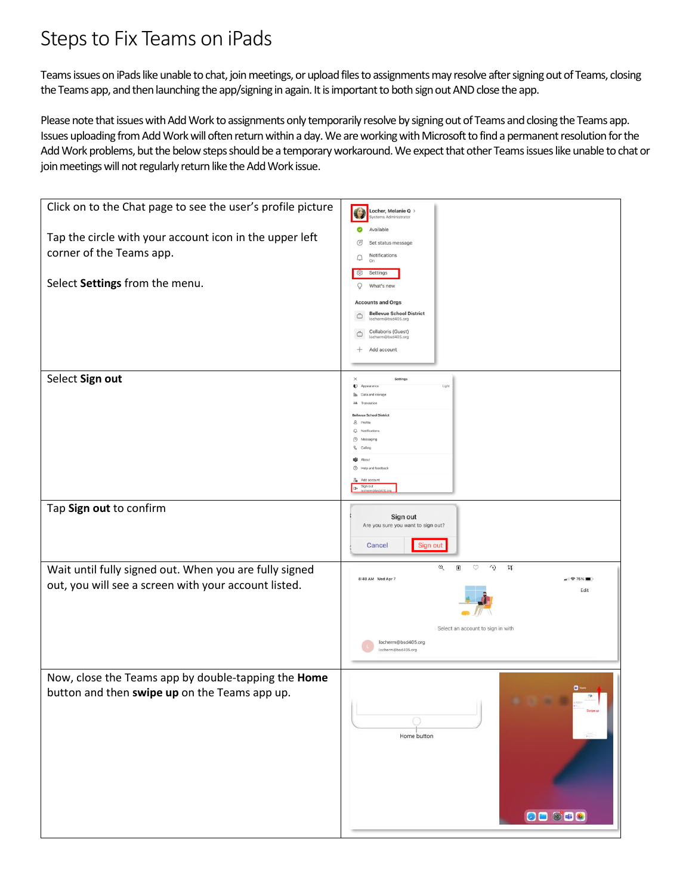## Steps to Fix Teams on iPads

Teams issues on iPads like unable to chat, join meetings, or upload files to assignments may resolve after signing out of Teams, closing the Teams app, and then launching the app/signing in again. It is important to both sign out AND close the app.

Please note that issues with Add Work to assignments only temporarily resolve by signing out of Teams and closing the Teams app. Issues uploading from Add Work will often return within a day. We are working with Microsoft to find a permanent resolution for the Add Work problems, but the below steps should be a temporary workaround. We expect that other Teams issues like unable to chat or join meetings will not regularly return like the Add Work issue.

| Click on to the Chat page to see the user's profile picture                                                           | Locher, Melanie Q ><br>Systems Administrator                                                                                                                                                                                                                                                              |
|-----------------------------------------------------------------------------------------------------------------------|-----------------------------------------------------------------------------------------------------------------------------------------------------------------------------------------------------------------------------------------------------------------------------------------------------------|
| Tap the circle with your account icon in the upper left<br>corner of the Teams app.<br>Select Settings from the menu. | Available<br>๏<br>Set status message<br>Ø<br>Notifications<br>₽<br>On<br>Settings<br>හූ<br>Q<br>What's new<br><b>Accounts and Orgs</b><br><b>Bellevue School District</b><br>Ô<br>locherm@bsd405.org<br>Collaboris (Guest)<br>Ô<br>locherm@bsd405.org<br>$^+$<br>Add account                              |
| Select Sign out                                                                                                       | Settings<br>×<br>(C) Appearance<br>Light<br><b>Illa</b> Data and storage<br>as.<br>Translation<br><b>Bellevue School District</b><br>Profile<br>å.<br>Q Notifications<br><b>D</b> Messagin<br>b<br>Calling<br><b>ugi</b> About<br><sup>7</sup> Help and feedback<br>& Add account<br>Sign out<br>$\theta$ |
| Tap Sign out to confirm                                                                                               | Sign out<br>Are you sure you want to sign out?<br>Cancel<br>Sign out                                                                                                                                                                                                                                      |
| Wait until fully signed out. When you are fully signed<br>out, you will see a screen with your account listed.        | $\Theta$<br>$\circ$<br>$\mathcal{L}_{\mathcal{O}}$<br>$\frac{1}{2}$<br>Ü<br>8:48 AM Wed Apr 7<br>$\leftarrow$ 11 $\approx$ 75%<br>Edit<br>Select an account to sign in with<br>locherm@bsd405.org<br>locherm@bsd405.org                                                                                   |
| Now, close the Teams app by double-tapping the Home<br>button and then swipe up on the Teams app up.                  | o<br>50<br>Home button<br>00008                                                                                                                                                                                                                                                                           |